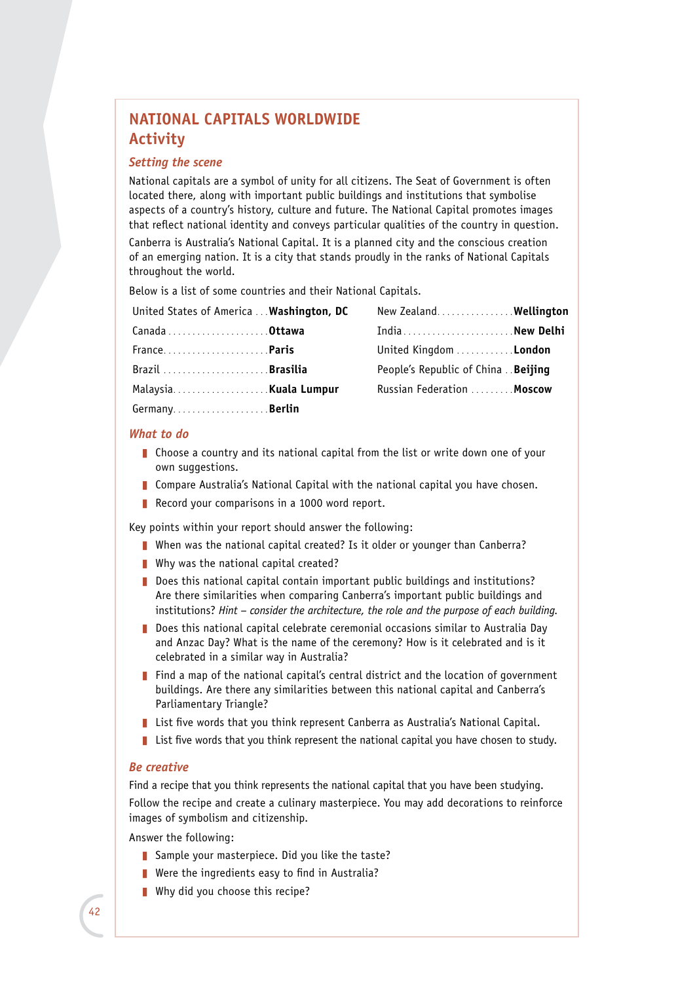# **NATIONAL CAPITALS WORLDWIDE Activity**

## *Setting the scene*

National capitals are a symbol of unity for all citizens. The Seat of Government is often located there, along with important public buildings and institutions that symbolise aspects of a country's history, culture and future. The National Capital promotes images that reflect national identity and conveys particular qualities of the country in question.

Canberra is Australia's National Capital. It is a planned city and the conscious creation of an emerging nation. It is a city that stands proudly in the ranks of National Capitals throughout the world.

Below is a list of some countries and their National Capitals.

| United States of America  Washington, DC | New Zealand Wellington                    |  |
|------------------------------------------|-------------------------------------------|--|
|                                          | IndiaNew Delhi                            |  |
| France <b>.Paris</b>                     | United Kingdom London                     |  |
| Brazil Brasilia                          | People's Republic of China <b>Beijing</b> |  |
|                                          | Russian Federation  Moscow                |  |
| Germany <b>Berlin</b>                    |                                           |  |

#### *What to do*

- **Choose a country and its national capital from the list or write down one of your** own suggestions.
- Compare Australia's National Capital with the national capital you have chosen.
- Record your comparisons in a 1000 word report.

Key points within your report should answer the following:

- When was the national capital created? Is it older or younger than Canberra?
- $\blacksquare$  Why was the national capital created?
- Does this national capital contain important public buildings and institutions? Are there similarities when comparing Canberra's important public buildings and institutions? *Hint – consider the architecture, the role and the purpose of each building.*
- **D** Does this national capital celebrate ceremonial occasions similar to Australia Day and Anzac Day? What is the name of the ceremony? How is it celebrated and is it celebrated in a similar way in Australia?
- $\blacksquare$  Find a map of the national capital's central district and the location of government buildings. Are there any similarities between this national capital and Canberra's Parliamentary Triangle?
- **List five words that you think represent Canberra as Australia's National Capital.**
- $\blacksquare$  List five words that you think represent the national capital you have chosen to study.

### *Be creative*

Find a recipe that you think represents the national capital that you have been studying. Follow the recipe and create a culinary masterpiece. You may add decorations to reinforce images of symbolism and citizenship.

Answer the following:

- Sample your masterpiece. Did you like the taste?
- $\blacksquare$  Were the ingredients easy to find in Australia?
- $\blacksquare$  Why did you choose this recipe?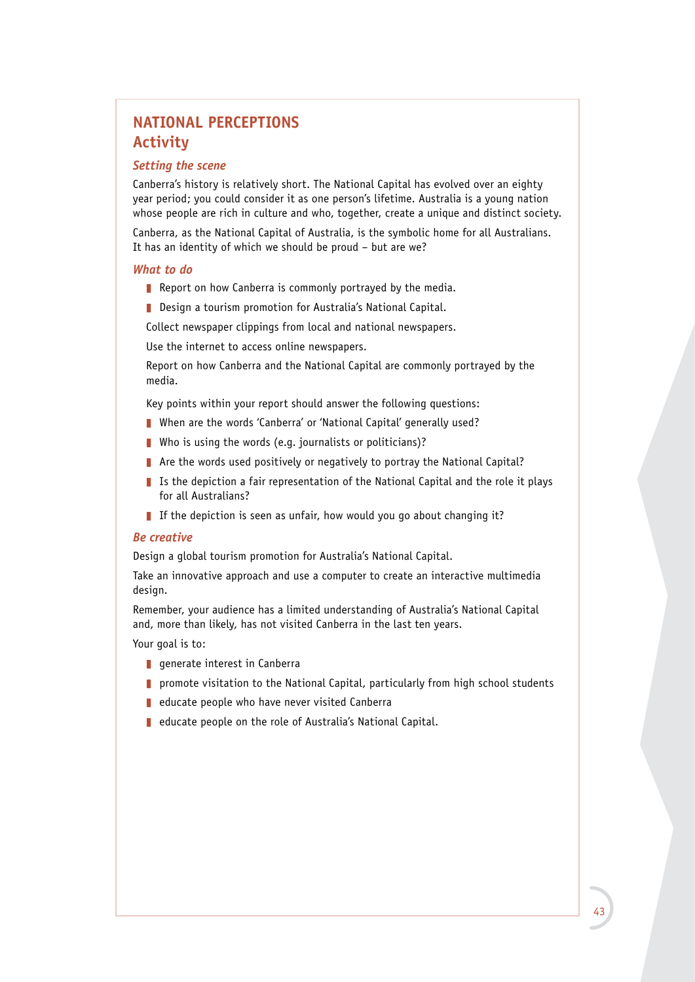# **NATIONAL PERCEPTIONS Activity**

## *Setting the scene*

Canberra's history is relatively short. The National Capital has evolved over an eighty year period; you could consider it as one person's lifetime. Australia is a young nation whose people are rich in culture and who, together, create a unique and distinct society.

Canberra, as the National Capital of Australia, is the symbolic home for all Australians. It has an identity of which we should be proud – but are we?

#### *What to do*

- Report on how Canberra is commonly portrayed by the media.
- **Design a tourism promotion for Australia's National Capital.**

Collect newspaper clippings from local and national newspapers.

Use the internet to access online newspapers.

Report on how Canberra and the National Capital are commonly portrayed by the media.

Key points within your report should answer the following questions:

- When are the words 'Canberra' or 'National Capital' generally used?
- Who is using the words (e.g. journalists or politicians)?
- $\blacksquare$  Are the words used positively or negatively to portray the National Capital?
- I Is the depiction a fair representation of the National Capital and the role it plays for all Australians?
- If the depiction is seen as unfair, how would you go about changing it?

### *Be creative*

Design a global tourism promotion for Australia's National Capital.

Take an innovative approach and use a computer to create an interactive multimedia design.

Remember, your audience has a limited understanding of Australia's National Capital and, more than likely, has not visited Canberra in the last ten years.

Your goal is to:

- $\blacksquare$  generate interest in Canberra
- $\blacksquare$  promote visitation to the National Capital, particularly from high school students
- $\blacksquare$  educate people who have never visited Canberra
- educate people on the role of Australia's National Capital.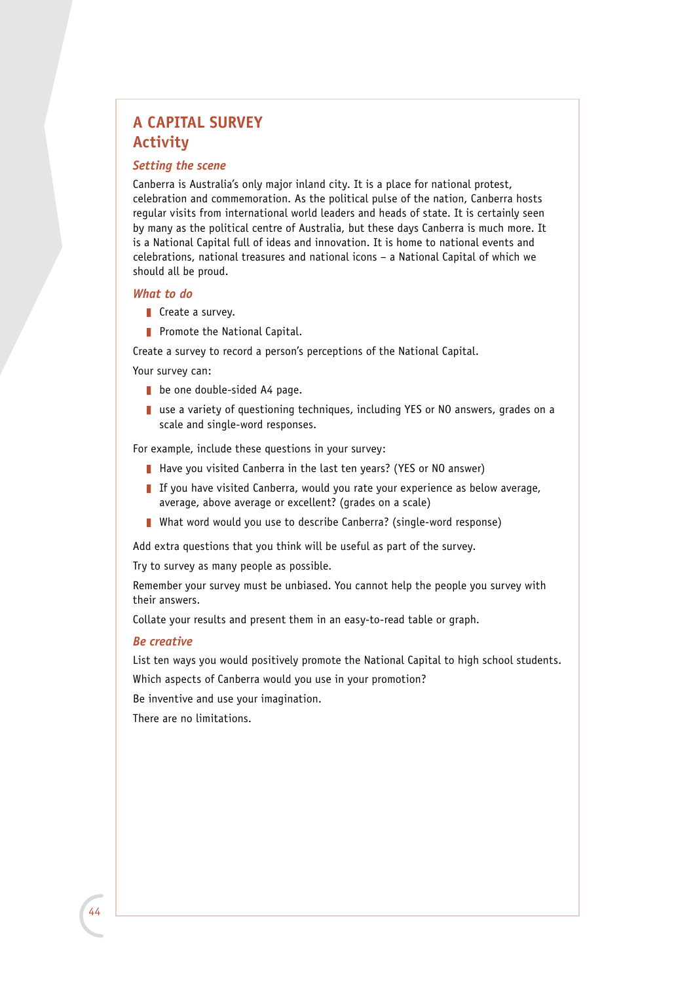# **A CAPITAL SURVEY Activity**

## *Setting the scene*

Canberra is Australia's only major inland city. It is a place for national protest, celebration and commemoration. As the political pulse of the nation, Canberra hosts regular visits from international world leaders and heads of state. It is certainly seen by many as the political centre of Australia, but these days Canberra is much more. It is a National Capital full of ideas and innovation. It is home to national events and celebrations, national treasures and national icons – a National Capital of which we should all be proud.

#### *What to do*

- $\blacksquare$  Create a survey.
- Promote the National Capital.

Create a survey to record a person's perceptions of the National Capital.

Your survey can:

- $\blacksquare$  be one double-sided A4 page.
- $\blacksquare$  use a variety of questioning techniques, including YES or NO answers, grades on a scale and single-word responses.

For example, include these questions in your survey:

- Have you visited Canberra in the last ten years? (YES or NO answer)
- If you have visited Canberra, would you rate your experience as below average, average, above average or excellent? (grades on a scale)
- What word would you use to describe Canberra? (single-word response)

Add extra questions that you think will be useful as part of the survey.

Try to survey as many people as possible.

Remember your survey must be unbiased. You cannot help the people you survey with their answers.

Collate your results and present them in an easy-to-read table or graph.

## *Be creative*

List ten ways you would positively promote the National Capital to high school students.

Which aspects of Canberra would you use in your promotion?

Be inventive and use your imagination.

There are no limitations.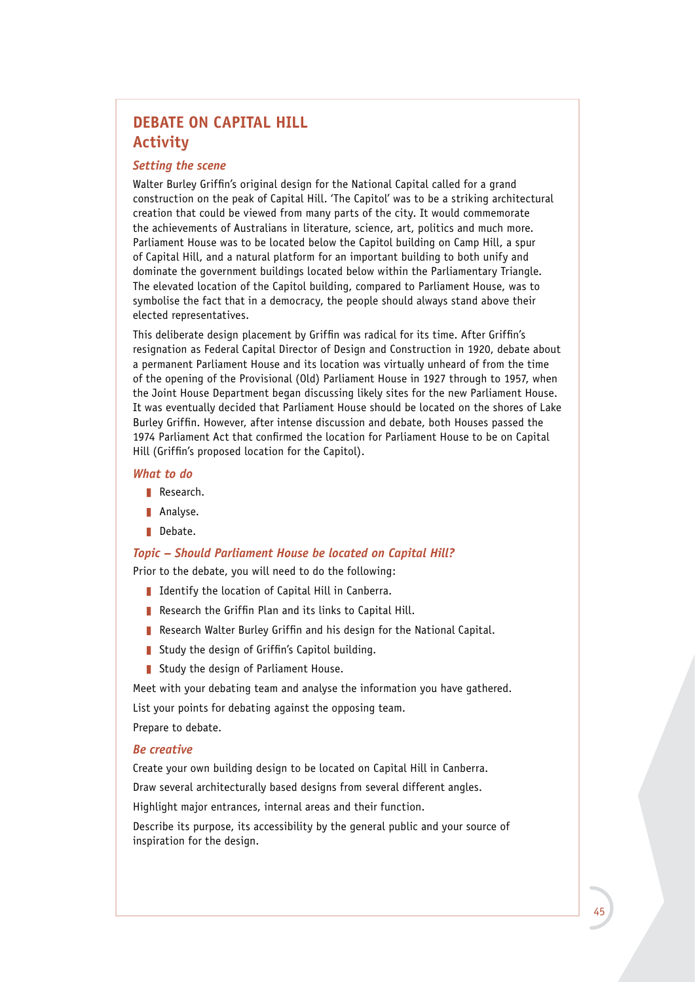## **DEBATE ON CAPITAL HILL Activity**

## *Setting the scene*

Walter Burley Griffin's original design for the National Capital called for a grand construction on the peak of Capital Hill. 'The Capitol' was to be a striking architectural creation that could be viewed from many parts of the city. It would commemorate the achievements of Australians in literature, science, art, politics and much more. Parliament House was to be located below the Capitol building on Camp Hill, a spur of Capital Hill, and a natural platform for an important building to both unify and dominate the government buildings located below within the Parliamentary Triangle. The elevated location of the Capitol building, compared to Parliament House, was to symbolise the fact that in a democracy, the people should always stand above their elected representatives.

This deliberate design placement by Griffin was radical for its time. After Griffin's resignation as Federal Capital Director of Design and Construction in 1920, debate about a permanent Parliament House and its location was virtually unheard of from the time of the opening of the Provisional (Old) Parliament House in 1927 through to 1957, when the Joint House Department began discussing likely sites for the new Parliament House. It was eventually decided that Parliament House should be located on the shores of Lake Burley Griffin. However, after intense discussion and debate, both Houses passed the 1974 Parliament Act that confirmed the location for Parliament House to be on Capital Hill (Griffin's proposed location for the Capitol).

#### *What to do*

- Research.
- **Analyse.**
- Debate.

### *Topic – Should Parliament House be located on Capital Hill?*

Prior to the debate, you will need to do the following:

- I Identify the location of Capital Hill in Canberra.
- Research the Griffin Plan and its links to Capital Hill.
- Research Walter Burley Griffin and his design for the National Capital.
- Study the design of Griffin's Capitol building.
- Study the design of Parliament House.

Meet with your debating team and analyse the information you have gathered.

List your points for debating against the opposing team.

Prepare to debate.

### *Be creative*

Create your own building design to be located on Capital Hill in Canberra. Draw several architecturally based designs from several different angles.

Highlight major entrances, internal areas and their function.

Describe its purpose, its accessibility by the general public and your source of inspiration for the design.